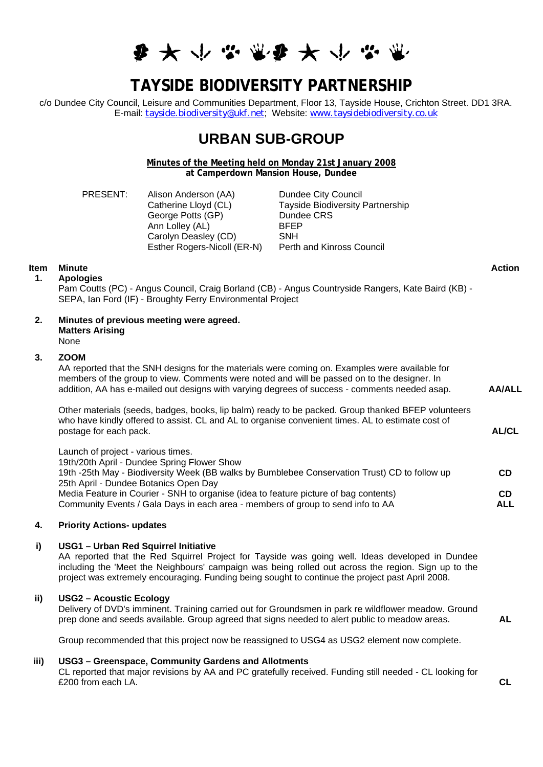**多大小心家乡大小心家** 

# **TAYSIDE BIODIVERSITY PARTNERSHIP**

c/o Dundee City Council, Leisure and Communities Department, Floor 13, Tayside House, Crichton Street. DD1 3RA. E-mail: *[tayside.biodiversity@ukf.net](mailto:tayside.biodiversity@ukf.net)*; Website: *[www.taysidebiodiversity.co.uk](http://www.taysidebiodiversity.co.uk/)*

## **URBAN SUB-GROUP**

**Minutes of the Meeting held on Monday 21st January 2008 at Camperdown Mansion House, Dundee**

PRESENT: Alison Anderson (AA) Dundee City Council George Potts (GP) Dundee CRS Ann Lolley (AL) BFEP Carolyn Deasley (CD) SNH<br>Esther Rogers-Nicoll (ER-N) Perth and Kinross Council Esther Rogers-Nicoll (ER-N)

Catherine Lloyd (CL) Tayside Biodiversity Partnership

#### **Item Minute Action**

**AA/ALL** 

**AL/CL** 

**1. Apologies** 

Pam Coutts (PC) - Angus Council, Craig Borland (CB) - Angus Countryside Rangers, Kate Baird (KB) - SEPA, Ian Ford (IF) - Broughty Ferry Environmental Project

**2. Minutes of previous meeting were agreed. Matters Arising**  None

#### **3. ZOOM**

AA reported that the SNH designs for the materials were coming on. Examples were available for members of the group to view. Comments were noted and will be passed on to the designer. In addition, AA has e-mailed out designs with varying degrees of success - comments needed asap.

Other materials (seeds, badges, books, lip balm) ready to be packed. Group thanked BFEP volunteers who have kindly offered to assist. CL and AL to organise convenient times. AL to estimate cost of postage for each pack.

Launch of project - various times. 19th/20th April - Dundee Spring Flower Show 19th -25th May - Biodiversity Week (BB walks by Bumblebee Conservation Trust) CD to follow up 25th April - Dundee Botanics Open Day Media Feature in Courier - SNH to organise (idea to feature picture of bag contents) Community Events / Gala Days in each area - members of group to send info to AA **CD CD ALL** 

#### **4. Priority Actions- updates**

#### **i) USG1 – Urban Red Squirrel Initiative**

AA reported that the Red Squirrel Project for Tayside was going well. Ideas developed in Dundee including the 'Meet the Neighbours' campaign was being rolled out across the region. Sign up to the project was extremely encouraging. Funding being sought to continue the project past April 2008.

#### **ii) USG2 – Acoustic Ecology**

Delivery of DVD's imminent. Training carried out for Groundsmen in park re wildflower meadow. Ground prep done and seeds available. Group agreed that signs needed to alert public to meadow areas.

Group recommended that this project now be reassigned to USG4 as USG2 element now complete.

#### **iii) USG3 – Greenspace, Community Gardens and Allotments**

CL reported that major revisions by AA and PC gratefully received. Funding still needed - CL looking for £200 from each LA. **CL** 

**AL**